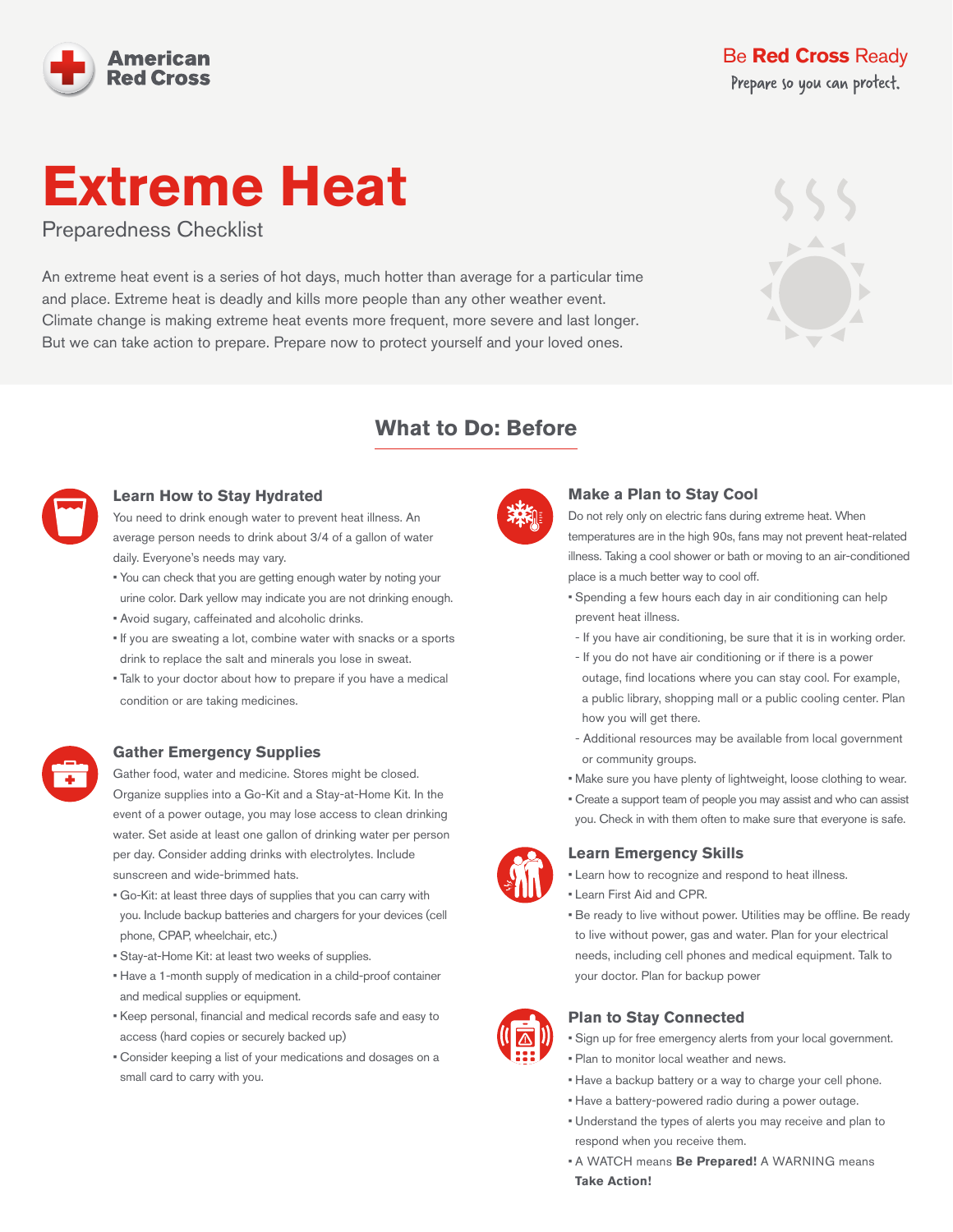

### Be **[Red Cross](https://www.redcross.org/get-help/how-to-prepare-for-emergencies.html)** Ready Prepare so you can protect.

# **Extreme Heat**

Preparedness Checklist

An extreme heat event is a series of hot days, much hotter than average for a particular time and place. Extreme heat is deadly and kills more people than any other weather event. Climate change is making extreme heat events more frequent, more severe and last longer. But we can take action to prepare. Prepare now to protect yourself and your loved ones.

### **What to Do: Before**



#### **Learn How to Stay Hydrated**

You need to drink enough water to prevent heat illness. An average person needs to drink about 3/4 of a gallon of water daily. Everyone's needs may vary.

- You can check that you are getting enough water by noting your urine color. Dark yellow may indicate you are not drinking enough.
- Avoid sugary, caffeinated and alcoholic drinks.
- If you are sweating a lot, combine water with snacks or a sports drink to replace the salt and minerals you lose in sweat.
- Talk to your doctor about how to prepare if you have a medical condition or are taking medicines.

### **Gather Emergency Supplies**

Gather food, water and medicine. Stores might be closed. Organize supplies into a Go-Kit and a Stay-at-Home Kit. In the event of a power outage, you may lose access to clean drinking water. Set aside at least one gallon of drinking water per person per day. Consider adding drinks with electrolytes. Include sunscreen and wide-brimmed hats.

- Go-Kit: at least three days of supplies that you can carry with you. Include backup batteries and chargers for your devices (cell phone, CPAP, wheelchair, etc.)
- Stay-at-Home Kit: at least two weeks of supplies.
- Have a 1-month supply of medication in a child-proof container and medical supplies or equipment.
- Keep personal, financial and medical records safe and easy to access (hard copies or securely backed up)
- Consider keeping a list of your medications and dosages on a small card to carry with you.



### **Make a Plan to Stay Cool**

Do not rely only on electric fans during extreme heat. When temperatures are in the high 90s, fans may not prevent heat-related illness. Taking a cool shower or bath or moving to an air-conditioned place is a much better way to cool off.

- Spending a few hours each day in air conditioning can help prevent heat illness.
- If you have air conditioning, be sure that it is in working order.
- If you do not have air conditioning or if there is a power outage, find locations where you can stay cool. For example, a public library, shopping mall or a public cooling center. Plan how you will get there.
- Additional resources may be available from local government or community groups.
- Make sure you have plenty of lightweight, loose clothing to wear.
- Create a support team of people you may assist and who can assist you. Check in with them often to make sure that everyone is safe.

#### **Learn Emergency Skills**

- Learn how to recognize and respond to heat illness.
- Learn First Aid and CPR.
- Be ready to live without power. Utilities may be offline. Be ready to live without power, gas and water. Plan for your electrical needs, including cell phones and medical equipment. Talk to your doctor. Plan for backup power



### **Plan to Stay Connected**

- Sign up for free emergency alerts from your local government.
- Plan to monitor local weather and news.
- Have a backup battery or a way to charge your cell phone.
- Have a battery-powered radio during a power outage.
- Understand the types of alerts you may receive and plan to respond when you receive them.
- A WATCH means **Be Prepared!** A WARNING means **Take Action!**